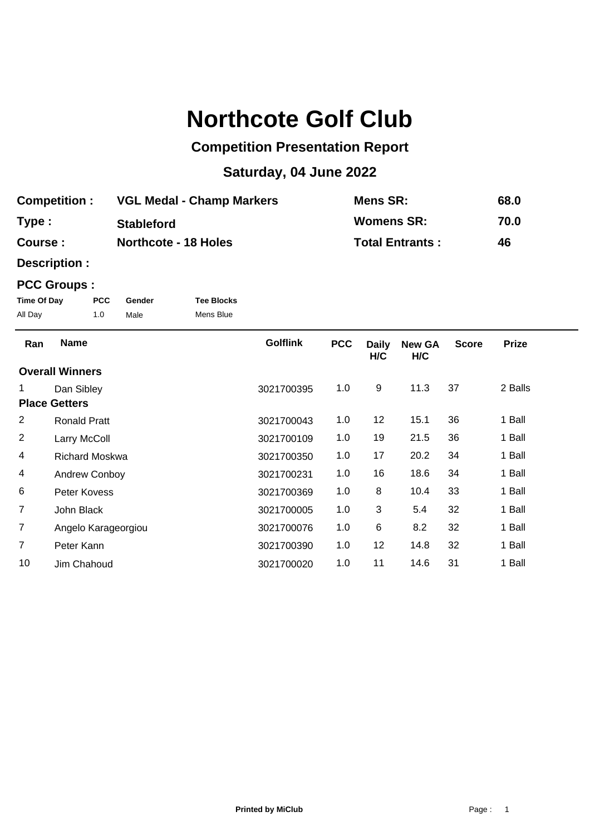# **Northcote Golf Club**

## **Competition Presentation Report**

## **Saturday, 04 June 2022**

| <b>Competition:</b> | <b>VGL Medal - Champ Markers</b> | Mens SR:               | 68.0 |
|---------------------|----------------------------------|------------------------|------|
| Type:               | <b>Stableford</b>                | <b>Womens SR:</b>      | 70.0 |
| <b>Course :</b>     | <b>Northcote - 18 Holes</b>      | <b>Total Entrants:</b> | 46   |

**Description :**

### **PCC Groups :**

| Time Of Day | <b>PCC</b> | Gender | <b>Tee Blocks</b> |
|-------------|------------|--------|-------------------|
| All Day     | 1.0        | Male   | Mens Blue         |

| Ran            | <b>Name</b>            | <b>Golflink</b> | <b>PCC</b> | <b>Daily</b><br>H/C | <b>New GA</b><br>H/C | <b>Score</b> | <b>Prize</b> |  |
|----------------|------------------------|-----------------|------------|---------------------|----------------------|--------------|--------------|--|
|                | <b>Overall Winners</b> |                 |            |                     |                      |              |              |  |
|                | Dan Sibley             | 3021700395      | 1.0        | 9                   | 11.3                 | 37           | 2 Balls      |  |
|                | <b>Place Getters</b>   |                 |            |                     |                      |              |              |  |
| $\overline{2}$ | <b>Ronald Pratt</b>    | 3021700043      | 1.0        | 12                  | 15.1                 | 36           | 1 Ball       |  |
| 2              | Larry McColl           | 3021700109      | 1.0        | 19                  | 21.5                 | 36           | 1 Ball       |  |
| 4              | <b>Richard Moskwa</b>  | 3021700350      | 1.0        | 17                  | 20.2                 | 34           | 1 Ball       |  |
| 4              | <b>Andrew Conboy</b>   | 3021700231      | 1.0        | 16                  | 18.6                 | 34           | 1 Ball       |  |
| 6              | Peter Kovess           | 3021700369      | 1.0        | 8                   | 10.4                 | 33           | 1 Ball       |  |
| $\overline{7}$ | John Black             | 3021700005      | 1.0        | 3                   | 5.4                  | 32           | 1 Ball       |  |
| $\overline{7}$ | Angelo Karageorgiou    | 3021700076      | 1.0        | 6                   | 8.2                  | 32           | 1 Ball       |  |
| 7              | Peter Kann             | 3021700390      | 1.0        | 12                  | 14.8                 | 32           | 1 Ball       |  |
| 10             | Jim Chahoud            | 3021700020      | 1.0        | 11                  | 14.6                 | 31           | 1 Ball       |  |